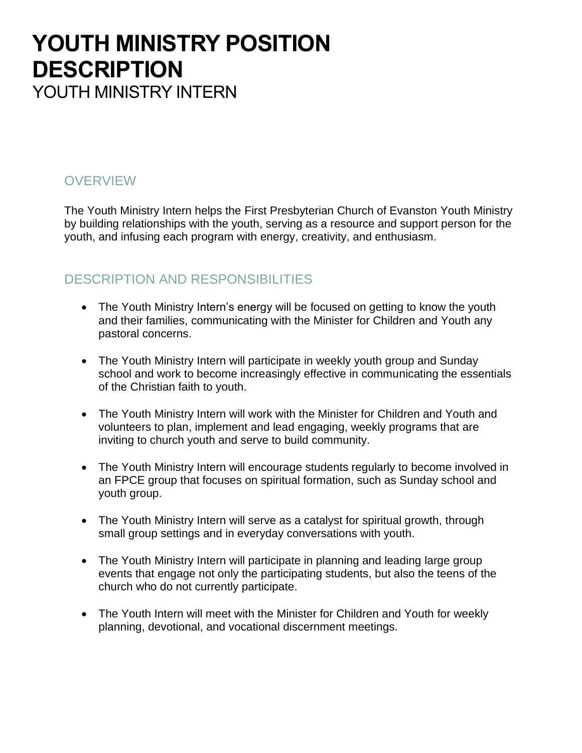## **YOUTH MINISTRY POSITION DESCRIPTION** YOUTH MINISTRY INTERN

### **OVERVIEW**

The Youth Ministry Intern helps the First Presbyterian Church of Evanston Youth Ministry by building relationships with the youth, serving as a resource and support person for the youth, and infusing each program with energy, creativity, and enthusiasm.

### DESCRIPTION AND RESPONSIBILITIES

- The Youth Ministry Intern's energy will be focused on getting to know the youth and their families, communicating with the Minister for Children and Youth any pastoral concerns.
- The Youth Ministry Intern will participate in weekly youth group and Sunday school and work to become increasingly effective in communicating the essentials of the Christian faith to youth.
- The Youth Ministry Intern will work with the Minister for Children and Youth and volunteers to plan, implement and lead engaging, weekly programs that are inviting to church youth and serve to build community.
- The Youth Ministry Intern will encourage students regularly to become involved in an FPCE group that focuses on spiritual formation, such as Sunday school and youth group.
- The Youth Ministry Intern will serve as a catalyst for spiritual growth, through small group settings and in everyday conversations with youth.
- The Youth Ministry Intern will participate in planning and leading large group events that engage not only the participating students, but also the teens of the church who do not currently participate.
- The Youth Intern will meet with the Minister for Children and Youth for weekly planning, devotional, and vocational discernment meetings.